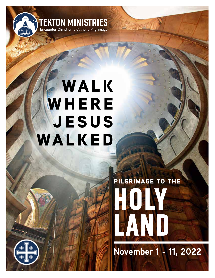

## **WALK WHERE jesus walked**

# **HOLY AND READY LAND pilgrimage to the**

**November 1 - 11, 2022**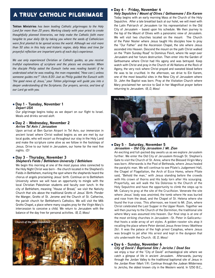### a truly catholic pilgrimage

**Tekton Ministries** *has been leading Catholic pilgrimages to the Holy Land for more than 20 years. Working closely with your priest to create thoughtfully planned itineraries, we help make the Catholic faith more tangible to your daily life by taking you where the seeds of Catholicism were first planted to be spread across the world. Although we visit more than 50 sites in this holy and historic region, daily Mass and time for prayerful reflection are important parts of each day's experience.*

*We use only experienced Christian or Catholic guides, so you receive truthful explanations of scripture and the places we encounter. When the disciple Philip asked the Eunuch (who was reading Isaiah) if he understood what he was reading, the man responded, "How can I, unless someone guides me?" (Acts 8:35) Just as Philip guided the Eunuch with "the good news of Jesus," your Tekton pilgrimage will guide you into a deeper understanding of the Scriptures. Our prayers, service, and love of our Lord go with you.*

#### l **Day 1 - Tuesday, November 1** *Depart USA*

Our pilgrimage begins today as we depart on our flight to Israel. Meals and drinks served aloft.

#### l **Day 2 - Wednesday, November 2** *Arrive Tel Aviv / Jerusalem*

Upon arrival at Ben Gurion Airport in Tel Aviv, our immersion in ancient Israel where Christ walked begins as we are met by our local guide, who will escort us throughout our stay in the Holy Land and make the scripture come alive as we follow in the footsteps of Jesus. Drive to our hotel in Jerusalem, our home for the next five nights. *(D)*

#### l **Day 3 - Thursday, November 3** *Shepherd's Fields / Bethlehem University / Bethlehem*

We begin this morning at one of the most joyous sites connected to the Holy Night Christ was born - the church located in the Shepherd's Fields in Bethlehem, marking the spot where the shepherds heard the chorus of angels proclaiming Jesus' birth. Continue on to Bethlehem University where we will have an opportunity to mingle with the local Christian Palestinian students and faculty over lunch. In the city of Bethlehem, meaning "House of Bread," we visit the Nativity Church that sits above the traditional Grotto of Jesus' Birth. Ponder the Manger, Grotto of St. Jerome and the Church of St. Catherine, the parish church for Bethlehem's Catholics. We will visit the Milk Grotto Chapel, a place where many couples pray for the Virgin Mary's intercession to conceive a child. We return to Jerusalem with the balance of the day free for personal activities. *(B, D, Mass)*



#### l **Day 4 - Friday, November 4**

*Holy Sepulchre / Mount of Olives / Gethsemane / Ein Karem* Today begins with an early morning Mass at the Church of the Holy Sepulchre. After a late breakfast back at our hotel, we will meet with the Latin Patriarch of Jerusalem (or his representative) in the Old City of Jerusalem – based upon his schedule. We then journey to the top of the Mount of Olives with a panoramic view of Jerusalem. We will visit two churches located on the mount: The Church of the Pater Noster where Jesus taught His disciples how to pray the "Our Father" and the Ascension Chapel, the site where Jesus ascended into Heaven. Descend the mount on the path Christ walked on the "Palm Sunday Road" to Dominus Flevit, where He wept over Jerusalem and her future destruction. Then enter into the Garden of Gethsemane where Christ had His agony and was betrayed. Keep watch with Christ and pray in the Church of All Nations at the Rock of Agony, the very rock where Christ prayed and sweated blood before He was to be crucified. In the afternoon, we drive to Ein Karem, one of the most beautiful sites in the New City of Jerusalem where St. John the Baptist was born. Pray at the Visitation Church where Mary proclaimed her service to God in her Magnificat prayer before returning to Jerusalem. *(B, D, Mass)*



#### l **Day 5 - Saturday, November 5** *Jerusalem – Old City Jerusalem / Mt. Zion*

An exciting and full-packed day awaits us as we explore Jerusalem further. We enter the Old City of Jerusalem through St. Stephen's Gate to visit the Church of St. Anne, where the Blessed Virgin Mary was born. Afterwards is the Pool of Bethesda, where Jesus healed the paralytic man. We will continue to see Pilate's Judgement Hall, the Chapel of Flagellation, the Arch of Ecce Homo, where Pilate said, "Behold the man," with Jesus standing before the crowds with His crown of thorns and His body torn after His scourging. Prayerfully, we will walk the Via Dolorosa to the Church of the Holy Sepulchre and have the opportunity to climb the steps up to Mt. Calvary to pray at the site of the Crucifixion. Venerate the site where Jesus' body was anointed, the tomb where He was buried and rose from the dead, and the Chapel of St. Helena where she found the true cross. This afternoon, we travel to Mt. Zion, where Christ celebrated the Last Supper in the Upper Room. Together we will then journey to the Church of the Dormition, the traditional site where Mary was assumed into heaven. Our final stop is at one of the most striking churches in Jerusalem –St. Peter in Gallicantu– that hosts a wide array of art styles. A golden rooster sits atop it recalling the place where Peter denied Jesus three times (Matthew 26). It was the palace of the high priest Caiaphas, where Jesus was brought to jail after His arrest and kept in the dungeon that sits underneath the Church. *(B, D, Mass)*

#### l **Day 6 - Sunday, November 6** *City of David / Baptismal Site / Jericho / Dead Sea*

we enjoy a tour of the "City of David" archaeological site where we catch a glimpse of life in ancient Jerusalem. Afterwards, journey through the Jordan Valley to the traditional baptismal site of Jesus in the Jordan River (Mark 1:9). Continue through the Judean Wilderness to Jericho, the oldest known city in the Western world. In 1250 B.C.,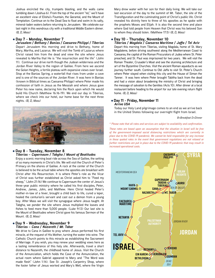Joshua encircled the city, trumpets blasting, and the walls came tumbling down (Joshua 6). From the top of the ancient "tel," we'll have an excellent view of Elisha's Fountain, the Qarantal, and the Mount of Temptation. Continue on to the Dead Sea to float and swim in its salty, mineral-laden waters before returning to Jerusalem. We celebrate our last night in this wondrous city with a traditional Middle Eastern dinner. *(B, D, Mass)*

#### l **Day 7 - Monday, November 7** *Jerusalem / Bethany / Banias / Caesarea Philippi / Tiberias*

Depart Jerusalem this morning and drive to Bethany, home of Mary, Martha, and Lazarus. We will visit the Tomb of Lazarus where Christ raised him from the dead and view the site where Jesus revealed to Martha that He is "the resurrection and the life" (John 11). Continue our drive north though the Judean wilderness and the Jordan River Valley to the region of Galilee. From here we ascend the Golan Heights, a fertile plateau with expansive views over Israel. Stop at the Banias Spring, a waterfall that rises from under a cave and is one of the sources of the Jordan River. It was here in Banias (known in Biblical times as Caesarea Philippi) where Peter made his confession of faith in Jesus as the Messiah and where Jesus gave Peter his new name, declaring him the Rock upon which He would build His Church (Matthew 16:16-19). We end our day in Tiberias, where we check into our hotel, our home base for the next three nights. *(B, D, Mass)*



#### l **Day 8 - Tuesday, November 8** *Tiberias – Capernaum / Tabgha / Mount of Beatitudes*

Enjoy a scenic morning boat ride across the Sea of Galilee, the setting of so many moments in Christ's life. We will visit the Church of Peter's Primacy on the shores of Galilee. A rock at the center of the Church is believed to be the actual table where the apostles ate breakfast with Christ after His Resurrection. It is where Peter's role as the Vicar of Christ was further established as Christ asked him to "Feed my sheep," (John 21:16) We continue to Capernaum the center of Jesus's three-year public ministry where he called his first disciples, Peter, Andrew, James, John, and Matthew. Here Christ healed Peter's mother-in-law of a fever, brought a child back to life, cured a leper, healed the centurion's servant and cast out a demon from a young boy. After Mass we will visit the synagogue where Jesus taught. At Tabgha, we ponder the site where Jesus multiplied the loaves and fishes to feed more than 5,000 people. (Luke 9:13) Our last site is the Mount of Beatitudes where Christ gave his famous Sermon of the Mount. *(B, D, Mass)*

#### l **Day 9 - Wednesday, November 9** *Tiberias – Cana / Nazareth / Mt. Tabor*

We drive to Cana in Galilee to pray where Jesus performed his first miracle, at the request of His Mother, turning the water into wine. The Catholic Church points to this miracle as establishing the Sacrament of Marriage. If you wish, you may renew your wedding vows here as a lasting remembrance of this holy site. Afterwards, travel a short distance to Nazareth, the childhood home of Jesus. Visit the Church of the Annunciation, which holds the Cave of the Annunciation, the actual room where Gabriel appeared to Mary and "The Word was made flesh" (John 1:14). See St. Joseph's Carpentry Shop, where the foster father of Jesus worked and Mary's Well, where the Virgin Mary drew water with her son for their daily living. We will take our last excursion of the day to the summit of Mt. Tabor, the site of the Transfiguration and the culminating point of Christ's public life. Christ revealed his divinity here to three of his apostles as he spoke with the prophets Moses and Elijah. It is also the second time and place where God told people from Heaven that Christ was his beloved Son to whom they should listen. (Matthew 17:5) *(B, D, Mass)*

#### • Day 10 - Thursday, November 10

*Tiberias / Magdala / Caesarea Maritime / Jaffa / Tel Aviv* Depart this morning from Tiberias, visiting Magdala, home of St. Mary Magdalene, before driving southwest along the Mediterranean Coast to Caesarea, the capital of the Roman Procurators of Judea where St. Peter preached, and St. Paul was imprisoned for two years. We will visit the Roman Theater, Crusader's Moat and see the stunning architecture and art of the Byzantine Churches. Visit the ancient Roman aqueducts as we journey further south. Continue to Old Jaffa to visit St. Peter's Church where Peter stayed when visiting this city and the House of Simon the Tanner. It was here where Peter brought Tabitha back from the dead and had a vision about broadening the ministry of Christ and bringing the message of salvation to the Gentiles (Acts 10). After dinner at a local restaurant before heading to the airport for our late evening return flight home. *(B, D, Mass)*

#### l **Day 11 - Friday, November 11** *Arrive USA*

Today our Holy Land pilgrimage comes to an end as we arrive back in the United States following our overnight flight from Israel.

*B=Breakfast D=Dinner*

#### *\* Please note that all rates and services are subject to availability and confirmation.*

**lebanon** *These rates are based upon an assumption that the situation in Israel will be free of the government-imposed social distancing restrictions which are currently in place due to the COVID-19 pandemic. We cannot be held responsible for any increase in these quoted rates in the event that government regulations are not relaxed or further restrictions are put in place due to the COVID-19 pandemic that may result in increased operational costs.*